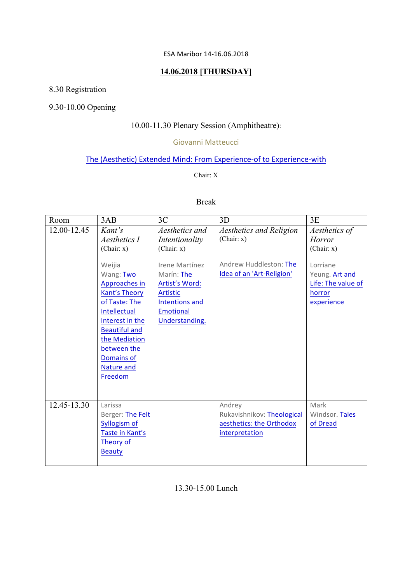#### ESA Maribor 14-16.06.2018

### **14.06.2018 [THURSDAY]**

# 8.30 Registration

## 9.30-10.00 Opening

## 10.00-11.30 Plenary Session (Amphitheatre):

#### Giovanni Matteucci

## The (Aesthetic) Extended Mind: From Experience-of to Experience-with

#### Chair: X

### Break

| Room        | 3AB                                                                                                                                                                                                                                                            | 3C                                                                                                                                                                          | 3D                                                                                           | 3E                                                                                                                       |
|-------------|----------------------------------------------------------------------------------------------------------------------------------------------------------------------------------------------------------------------------------------------------------------|-----------------------------------------------------------------------------------------------------------------------------------------------------------------------------|----------------------------------------------------------------------------------------------|--------------------------------------------------------------------------------------------------------------------------|
| 12.00-12.45 | Kant's<br>Aesthetics I<br>(Chair: x)<br>Weijia<br>Wang: Two<br>Approaches in<br><b>Kant's Theory</b><br>of Taste: The<br>Intellectual<br>Interest in the<br><b>Beautiful and</b><br>the Mediation<br>between the<br>Domains of<br><b>Nature and</b><br>Freedom | Aesthetics and<br>Intentionality<br>(Chair: x)<br>Irene Martínez<br>Marín: The<br>Artist's Word:<br><b>Artistic</b><br>Intentions and<br><b>Emotional</b><br>Understanding. | Aesthetics and Religion<br>(Chair: x)<br>Andrew Huddleston: The<br>Idea of an 'Art-Religion' | Aesthetics of<br><b>Horror</b><br>(Chair: x)<br>Lorriane<br>Yeung. Art and<br>Life: The value of<br>horror<br>experience |
| 12.45-13.30 | Larissa<br>Berger: The Felt<br>Syllogism of<br>Taste in Kant's<br>Theory of<br><b>Beauty</b>                                                                                                                                                                   |                                                                                                                                                                             | Andrey<br>Rukavishnikov: Theological<br>aesthetics: the Orthodox<br>interpretation           | Mark<br>Windsor. Tales<br>of Dread                                                                                       |

13.30-15.00 Lunch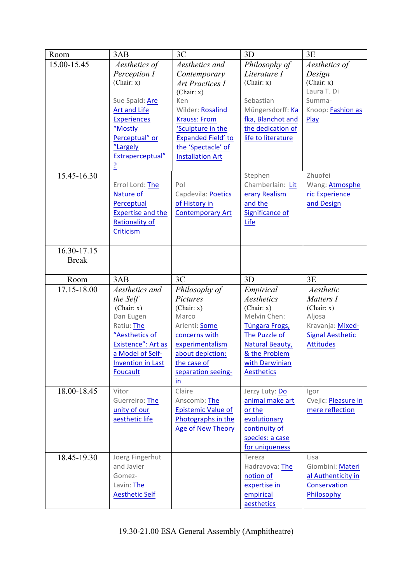| Room         | 3AB                                 | 3C                                  | 3D                        | 3E                           |
|--------------|-------------------------------------|-------------------------------------|---------------------------|------------------------------|
| 15.00-15.45  | Aesthetics of                       | Aesthetics and                      | Philosophy of             | Aesthetics of                |
|              | Perception I                        | Contemporary                        | Literature I              | Design                       |
|              | (Chair: x)                          | <b>Art Practices I</b>              | (Chair: x)                | (Chair: x)<br>Laura T. Di    |
|              | Sue Spaid: Are                      | (Chair: x)<br>Ken                   | Sebastian                 | Summa-                       |
|              | <b>Art and Life</b>                 | Wilder: Rosalind                    | Müngersdorff: Ka          | Knoop: Fashion as            |
|              | <b>Experiences</b>                  | <b>Krauss: From</b>                 | fka, Blanchot and         | Play                         |
|              | "Mostly                             | 'Sculpture in the                   | the dedication of         |                              |
|              | Perceptual" or                      | Expanded Field' to                  | life to literature        |                              |
|              | "Largely                            | the 'Spectacle' of                  |                           |                              |
|              | Extraperceptual"                    | <b>Installation Art</b>             |                           |                              |
|              | <u>?</u>                            |                                     |                           |                              |
| 15.45-16.30  |                                     |                                     | Stephen                   | Zhuofei                      |
|              | Errol Lord: The                     | Pol                                 | Chamberlain: Lit          | Wang: Atmosphe               |
|              | Nature of<br>Perceptual             | Capdevila: Poetics<br>of History in | erary Realism<br>and the  | ric Experience<br>and Design |
|              | <b>Expertise and the</b>            | <b>Contemporary Art</b>             | Significance of           |                              |
|              | <b>Rationality of</b>               |                                     | Life                      |                              |
|              | Criticism                           |                                     |                           |                              |
|              |                                     |                                     |                           |                              |
| 16.30-17.15  |                                     |                                     |                           |                              |
| <b>Break</b> |                                     |                                     |                           |                              |
|              |                                     |                                     |                           |                              |
| Room         | 3AB                                 | 3C                                  | 3D                        | 3E                           |
| 17.15-18.00  | Aesthetics and                      | Philosophy of                       | Empirical                 | Aesthetic                    |
|              | the Self<br>(Chair: x)              | Pictures<br>(Chair: x)              | Aesthetics<br>(Chair: x)  | Matters I<br>(Chair: x)      |
|              | Dan Eugen                           | Marco                               | Melvin Chen:              | Aljosa                       |
|              | Ratiu: The                          | Arienti: Some                       | Túngara Frogs,            | Kravanja: Mixed-             |
|              | "Aesthetics of                      | concerns with                       | The Puzzle of             | <b>Signal Aesthetic</b>      |
|              | Existence": Art as                  | experimentalism                     | <b>Natural Beauty,</b>    | <b>Attitudes</b>             |
|              | a Model of Self-                    | about depiction:                    | & the Problem             |                              |
|              | <b>Invention in Last</b>            | the case of                         | with Darwinian            |                              |
|              | <b>Foucault</b>                     | separation seeing-                  | <b>Aesthetics</b>         |                              |
| 18.00-18.45  | Vitor                               | in<br>Claire                        | Jerzy Luty: Do            | Igor                         |
|              | Guerreiro: The                      | Anscomb: The                        | animal make art           | Cvejic: Pleasure in          |
|              | unity of our                        | <b>Epistemic Value of</b>           | or the                    | mere reflection              |
|              | aesthetic life                      | Photographs in the                  | evolutionary              |                              |
|              |                                     | <b>Age of New Theory</b>            | continuity of             |                              |
|              |                                     |                                     | species: a case           |                              |
|              |                                     |                                     | for uniqueness            |                              |
| 18.45-19.30  | Joerg Fingerhut                     |                                     | Tereza                    | Lisa                         |
|              | and Javier                          |                                     | Hadravova: The            | Giombini: Materi             |
|              | Gomez-                              |                                     | notion of                 | al Authenticity in           |
|              | Lavin: The<br><b>Aesthetic Self</b> |                                     | expertise in<br>empirical | Conservation<br>Philosophy   |
|              |                                     |                                     | aesthetics                |                              |
|              |                                     |                                     |                           |                              |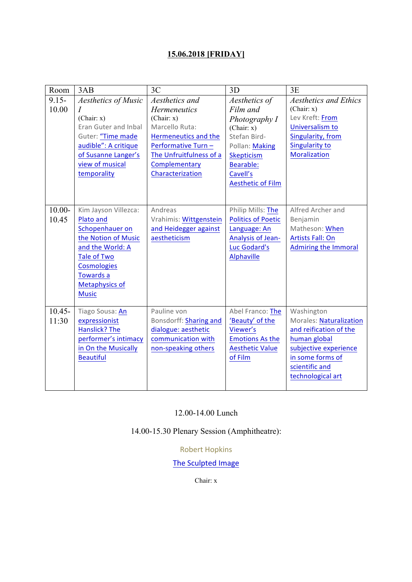# **15.06.2018 [FRIDAY]**

| Room               | 3AB                                                                                                                                                                                               | 3C                                                                                                                                                                 | 3D                                                                                                                                           | 3E                                                                                                                                                                         |
|--------------------|---------------------------------------------------------------------------------------------------------------------------------------------------------------------------------------------------|--------------------------------------------------------------------------------------------------------------------------------------------------------------------|----------------------------------------------------------------------------------------------------------------------------------------------|----------------------------------------------------------------------------------------------------------------------------------------------------------------------------|
| $9.15 -$           | <b>Aesthetics of Music</b>                                                                                                                                                                        | Aesthetics and                                                                                                                                                     | Aesthetics of                                                                                                                                | <b>Aesthetics and Ethics</b>                                                                                                                                               |
| 10.00              | $\boldsymbol{I}$<br>(Chair: x)<br><b>Eran Guter and Inbal</b><br>Guter: "Time made<br>audible": A critique<br>of Susanne Langer's<br>view of musical<br>temporality                               | <b>Hermeneutics</b><br>(Chair: x)<br>Marcello Ruta:<br>Hermeneutics and the<br>Performative Turn -<br>The Unfruitfulness of a<br>Complementary<br>Characterization | Film and<br>Photography I<br>(Chair: x)<br>Stefan Bird-<br>Pollan: Making<br>Skepticism<br>Bearable:<br>Cavell's<br><b>Aesthetic of Film</b> | (Chair: x)<br>Lev Kreft: From<br>Universalism to<br>Singularity, from<br><b>Singularity to</b><br><b>Moralization</b>                                                      |
| $10.00 -$<br>10.45 | Kim Jayson Villezca:<br>Plato and<br>Schopenhauer on<br>the Notion of Music<br>and the World: A<br><b>Tale of Two</b><br><b>Cosmologies</b><br>Towards a<br><b>Metaphysics of</b><br><b>Music</b> | Andreas<br>Vrahimis: Wittgenstein<br>and Heidegger against<br>aestheticism                                                                                         | Philip Mills: The<br><b>Politics of Poetic</b><br>Language: An<br><b>Analysis of Jean-</b><br>Luc Godard's<br><b>Alphaville</b>              | Alfred Archer and<br>Benjamin<br>Matheson: When<br><b>Artists Fall: On</b><br><b>Admiring the Immoral</b>                                                                  |
| $10.45 -$<br>11:30 | Tiago Sousa: An<br>expressionist<br>Hanslick? The<br>performer's intimacy<br>in On the Musically<br><b>Beautiful</b>                                                                              | Pauline von<br>Bonsdorff: Sharing and<br>dialogue: aesthetic<br>communication with<br>non-speaking others                                                          | Abel Franco: The<br>'Beauty' of the<br>Viewer's<br><b>Emotions As the</b><br><b>Aesthetic Value</b><br>of Film                               | Washington<br><b>Morales: Naturalization</b><br>and reification of the<br>human global<br>subjective experience<br>in some forms of<br>scientific and<br>technological art |

### 12.00-14.00 Lunch

14.00-15.30 Plenary Session (Amphitheatre):

Robert Hopkins

# The Sculpted Image

Chair: x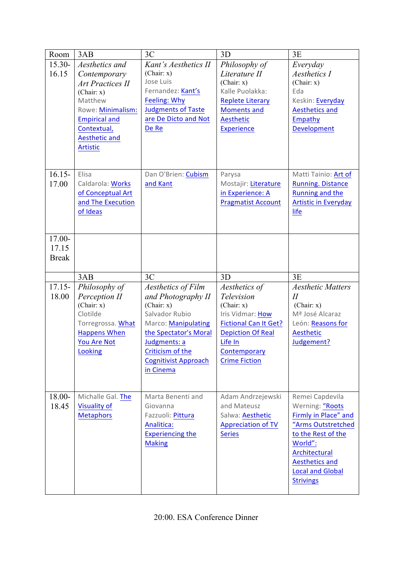| Room         | 3AB                                     | 3C                          | 3D                           | 3E                          |
|--------------|-----------------------------------------|-----------------------------|------------------------------|-----------------------------|
| $15.30 -$    | Aesthetics and                          | Kant's Aesthetics II        | Philosophy of                | Everyday                    |
| 16.15        | Contemporary                            | (Chair: x)                  | Literature II                | Aesthetics I                |
|              | <b>Art Practices II</b>                 | Jose Luis                   | (Chair: x)                   | (Chair: x)                  |
|              | (Chair: x)                              | Fernandez: Kant's           | Kalle Puolakka:              | Eda                         |
|              | Matthew                                 | Feeling: Why                | <b>Replete Literary</b>      | Keskin: Everyday            |
|              | Rowe: Minimalism:                       | <b>Judgments of Taste</b>   | <b>Moments and</b>           | <b>Aesthetics and</b>       |
|              | <b>Empirical and</b>                    | are De Dicto and Not        | Aesthetic                    | Empathy                     |
|              | Contextual,                             | De Re                       | <b>Experience</b>            | Development                 |
|              | <b>Aesthetic and</b><br><b>Artistic</b> |                             |                              |                             |
|              |                                         |                             |                              |                             |
|              |                                         |                             |                              |                             |
| $16.15 -$    | Elisa                                   | Dan O'Brien: Cubism         | Parysa                       | Matti Tainio: Art of        |
| 17.00        | Caldarola: Works                        | and Kant                    | Mostajir: Literature         | <b>Running. Distance</b>    |
|              | of Conceptual Art                       |                             | in Experience: A             | Running and the             |
|              | and The Execution                       |                             | <b>Pragmatist Account</b>    | <b>Artistic in Everyday</b> |
|              | of Ideas                                |                             |                              | life                        |
|              |                                         |                             |                              |                             |
| 17.00-       |                                         |                             |                              |                             |
| 17.15        |                                         |                             |                              |                             |
| <b>Break</b> |                                         |                             |                              |                             |
|              |                                         |                             |                              |                             |
|              |                                         |                             |                              |                             |
|              | 3AB                                     | 3C                          | 3D                           | 3E                          |
| $17.15 -$    | Philosophy of                           | Aesthetics of Film          | Aesthetics of                | <b>Aesthetic Matters</b>    |
| 18.00        | Perception II                           | and Photography II          | Television                   | $I\!I$                      |
|              | (Chair: x)                              | (Chair: x)                  | (Chair: x)                   | (Chair: x)                  |
|              | Clotilde                                | Salvador Rubio              | Iris Vidmar: How             | Mª José Alcaraz             |
|              | Torregrossa. What                       | Marco: Manipulating         | <b>Fictional Can It Get?</b> | León: Reasons for           |
|              | <b>Happens When</b>                     | the Spectator's Moral       | <b>Depiction Of Real</b>     | Aesthetic                   |
|              | <b>You Are Not</b>                      | Judgments: a                | Life In                      | Judgement?                  |
|              | Looking                                 | Criticism of the            | Contemporary                 |                             |
|              |                                         | <b>Cognitivist Approach</b> | <b>Crime Fiction</b>         |                             |
|              |                                         | in Cinema                   |                              |                             |
|              |                                         |                             |                              |                             |
| 18.00-       | Michalle Gal. The                       | Marta Benenti and           | Adam Andrzejewski            | Remei Capdevila             |
| 18.45        | <b>Visuality of</b>                     | Giovanna                    | and Mateusz                  | Werning: "Roots             |
|              | <b>Metaphors</b>                        | Fazzuoli: Pittura           | Salwa: Aesthetic             | Firmly in Place" and        |
|              |                                         | Analitica:                  | <b>Appreciation of TV</b>    | "Arms Outstretched          |
|              |                                         | <b>Experiencing the</b>     | <b>Series</b>                | to the Rest of the          |
|              |                                         | <b>Making</b>               |                              | World":                     |
|              |                                         |                             |                              | Architectural               |
|              |                                         |                             |                              | <b>Aesthetics and</b>       |
|              |                                         |                             |                              | <b>Local and Global</b>     |
|              |                                         |                             |                              |                             |
|              |                                         |                             |                              |                             |
|              |                                         |                             |                              |                             |
|              |                                         |                             |                              |                             |
|              |                                         |                             |                              |                             |
|              |                                         |                             |                              |                             |
|              |                                         |                             |                              |                             |
|              |                                         |                             |                              |                             |
|              |                                         |                             |                              |                             |
|              |                                         |                             |                              |                             |
|              |                                         |                             |                              |                             |
|              |                                         |                             |                              |                             |
|              |                                         |                             |                              |                             |
|              |                                         |                             |                              |                             |
|              |                                         |                             |                              |                             |
|              |                                         |                             |                              | <b>Strivings</b>            |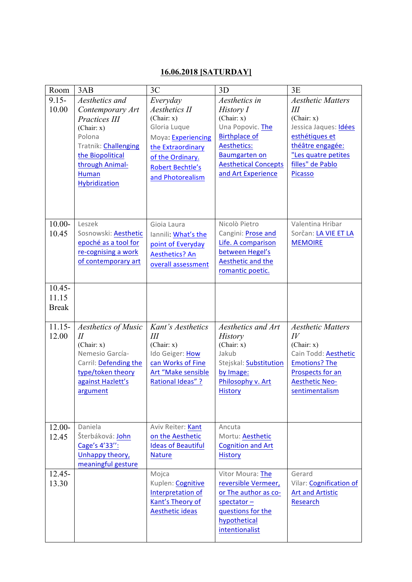## **16.06.2018 [SATURDAY]**

| Room                               | 3AB                                                                                                                                                   | 3C                                                                                                                              | 3D                                                                                                                                        | 3E                                                                                                                                                                  |
|------------------------------------|-------------------------------------------------------------------------------------------------------------------------------------------------------|---------------------------------------------------------------------------------------------------------------------------------|-------------------------------------------------------------------------------------------------------------------------------------------|---------------------------------------------------------------------------------------------------------------------------------------------------------------------|
| $9.15 -$<br>10.00                  | Aesthetics and<br>Contemporary Art<br>Practices III                                                                                                   | Everyday<br><b>Aesthetics II</b><br>(Chair: x)                                                                                  | Aesthetics in<br>History I<br>(Chair: x)<br>Una Popovic. The                                                                              | <b>Aesthetic Matters</b><br>Ш<br>(Chair: x)<br>Jessica Jaques: Idées                                                                                                |
|                                    | (Chair: x)<br>Polona<br>Tratnik: Challenging<br>the Biopolitical<br>through Animal-<br><b>Human</b><br>Hybridization                                  | Gloria Luque<br>Moya: Experiencing<br>the Extraordinary<br>of the Ordinary.<br><b>Robert Bechtle's</b><br>and Photorealism      | <b>Birthplace of</b><br>Aesthetics:<br><b>Baumgarten on</b><br><b>Aesthetical Concepts</b><br>and Art Experience                          | esthétiques et<br>théâtre engagée:<br>"Les quatre petites<br>filles" de Pablo<br>Picasso                                                                            |
| $10.00 -$<br>10.45                 | Leszek<br>Sosnowski: Aesthetic<br>epoché as a tool for<br>re-cognising a work<br>of contemporary art                                                  | Gioia Laura<br>Iannili: What's the<br>point of Everyday<br><b>Aesthetics? An</b><br>overall assessment                          | Nicolò Pietro<br>Cangini: Prose and<br>Life. A comparison<br>between Hegel's<br>Aesthetic and the<br>romantic poetic.                     | Valentina Hribar<br>Sorčan: LA VIE ET LA<br><b>MEMOIRE</b>                                                                                                          |
| $10.45 -$<br>11.15<br><b>Break</b> |                                                                                                                                                       |                                                                                                                                 |                                                                                                                                           |                                                                                                                                                                     |
| $11.15 -$<br>12.00                 | Aesthetics of Music<br>$\overline{H}$<br>(Chair: x)<br>Nemesio García-<br>Carril: Defending the<br>type/token theory<br>against Hazlett's<br>argument | Kant's Aesthetics<br>III<br>(Chair: x)<br>Ido Geiger: How<br>can Works of Fine<br>Art "Make sensible<br><b>Rational Ideas"?</b> | Aesthetics and Art<br><b>History</b><br>(Chair: x)<br>Jakub<br>Stejskal: Substitution<br>by Image:<br>Philosophy v. Art<br><b>History</b> | <b>Aesthetic Matters</b><br>$I\bar{V}$<br>(Chair: x)<br>Cain Todd: Aesthetic<br><b>Emotions? The</b><br>Prospects for an<br><b>Aesthetic Neo-</b><br>sentimentalism |
| $12.00 -$<br>12.45                 | Daniela<br>Šterbáková: John<br>Cage's 4'33":<br>Unhappy theory,<br>meaningful gesture                                                                 | Aviv Reiter: Kant<br>on the Aesthetic<br><b>Ideas of Beautiful</b><br><b>Nature</b>                                             | Ancuta<br>Mortu: Aesthetic<br><b>Cognition and Art</b><br><b>History</b>                                                                  |                                                                                                                                                                     |
| $12.45 -$<br>13.30                 |                                                                                                                                                       | Mojca<br>Kuplen: Cognitive<br>Interpretation of<br>Kant's Theory of<br><b>Aesthetic ideas</b>                                   | Vitor Moura: The<br>reversible Vermeer,<br>or The author as co-<br>$spectator -$<br>questions for the<br>hypothetical<br>intentionalist   | Gerard<br>Vilar: Cognification of<br><b>Art and Artistic</b><br>Research                                                                                            |